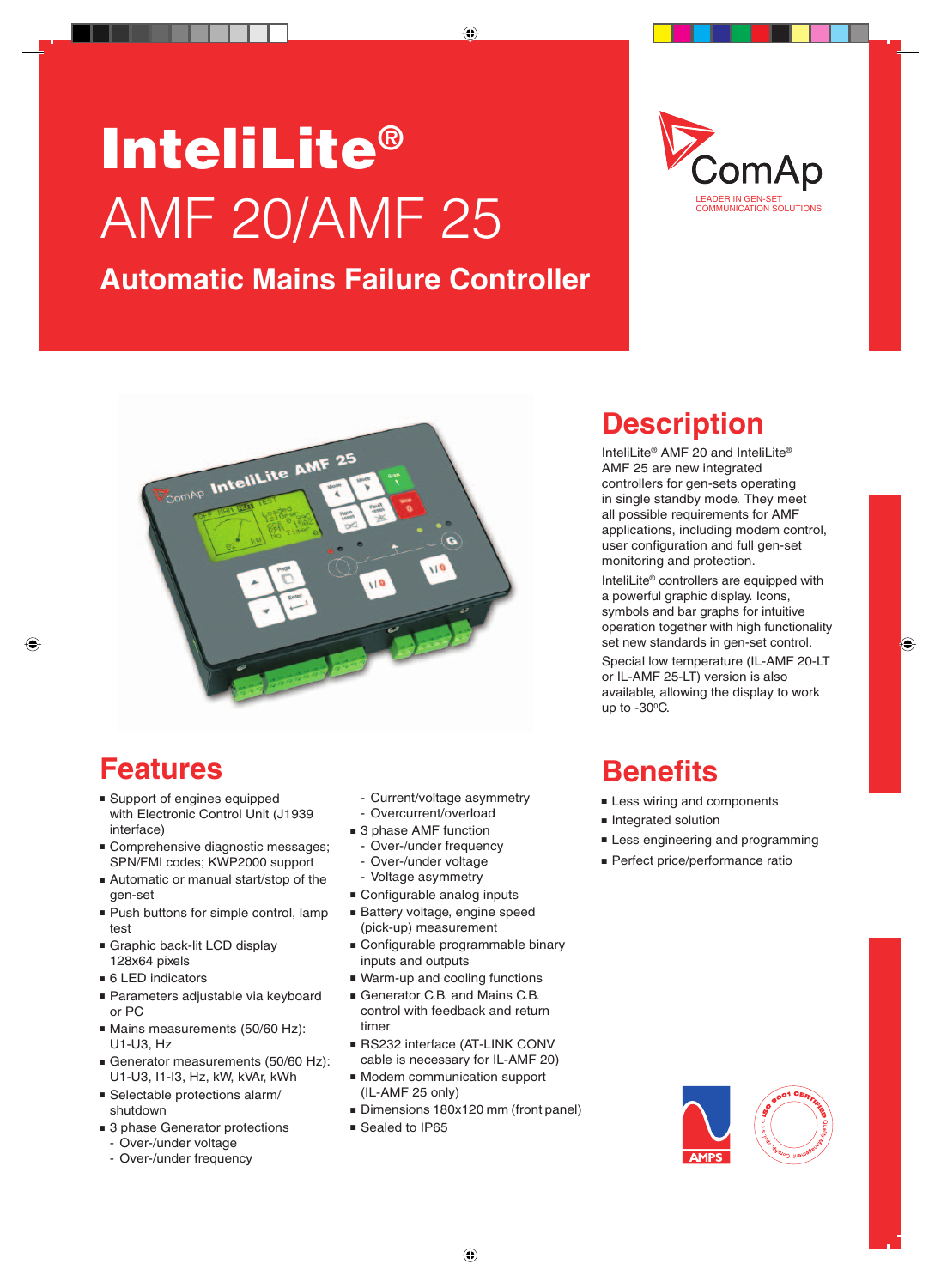# InteliLite® AMF 20/AMF 25

#### **Automatic Mains Failure Controller**





### **Features**

- Support of engines equipped with Electronic Control Unit (J1939 interface)
- **Comprehensive diagnostic messages;** SPN/FMI codes; KWP2000 support
- Automatic or manual start/stop of the gen-set
- Push buttons for simple control, lamp test
- Graphic back-lit LCD display 128x64 pixels
- $\blacksquare$  6 LED indicators
- Parameters adjustable via keyboard or PC
- Mains measurements (50/60 Hz): U1-U3, Hz
- Generator measurements (50/60 Hz): U1-U3, I1-I3, Hz, kW, kVAr, kWh
- $\blacksquare$  Selectable protections alarm/ shutdown
- 3 phase Generator protections
	- Over-/under voltage
	- Over-/under frequency
- Current/voltage asymmetry
- Overcurrent/overload
- 3 phase AMF function
- Over-/under frequency
- Over-/under voltage
- Voltage asymmetry
- Configurable analog inputs
- Battery voltage, engine speed (pick-up) measurement
- Configurable programmable binary inputs and outputs
- Warm-up and cooling functions
- Generator C.B. and Mains C.B. control with feedback and return timer
- RS232 interface (AT-LINK CONV cable is necessary for IL-AMF 20)
- **n** Modem communication support (IL-AMF 25 only)
- Dimensions 180x120 mm (front panel)
- Sealed to IP65

### **Description**

InteliLite® AMF 20 and InteliLite® AMF 25 are new integrated controllers for gen-sets operating in single standby mode. They meet all possible requirements for AMF applications, including modem control, user configuration and full gen-set monitoring and protection.

InteliLite® controllers are equipped with a powerful graphic display. Icons, symbols and bar graphs for intuitive operation together with high functionality set new standards in gen-set control.

Special low temperature (IL-AMF 20-LT or IL-AMF 25-LT) version is also available, allowing the display to work up to  $-30^{\circ}$ C.

### **Benefits**

- **Example 1** Less wiring and components
- **n** Integrated solution
- **Example 1** Less engineering and programming
- **Perfect price/performance ratio**